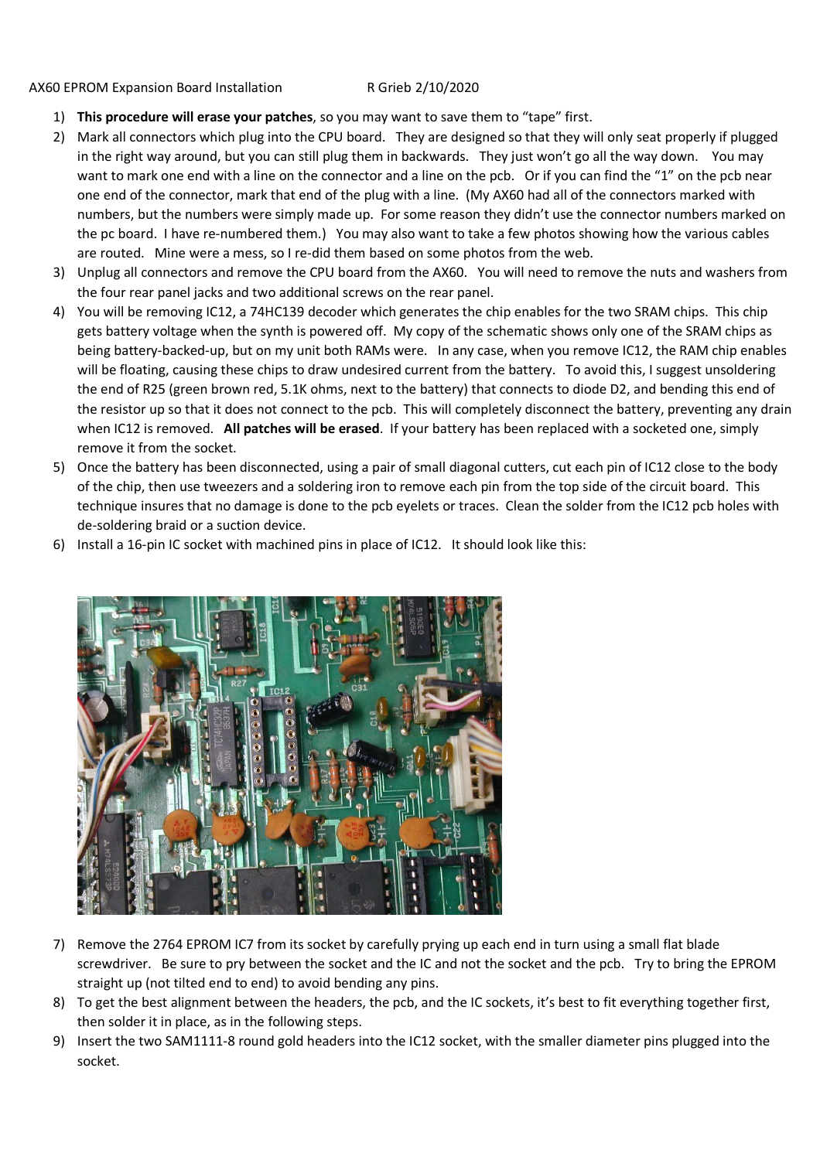## AX60 EPROM Expansion Board Installation R Grieb 2/10/2020

- 1) **This procedure will erase your patches**, so you may want to save them to "tape" first.
- 2) Mark all connectors which plug into the CPU board. They are designed so that they will only seat properly if plugged in the right way around, but you can still plug them in backwards. They just won't go all the way down. You may want to mark one end with a line on the connector and a line on the pcb. Or if you can find the "1" on the pcb near one end of the connector, mark that end of the plug with a line. (My AX60 had all of the connectors marked with numbers, but the numbers were simply made up. For some reason they didn't use the connector numbers marked on the pc board. I have re-numbered them.) You may also want to take a few photos showing how the various cables are routed. Mine were a mess, so I re-did them based on some photos from the web.
- 3) Unplug all connectors and remove the CPU board from the AX60. You will need to remove the nuts and washers from the four rear panel jacks and two additional screws on the rear panel.
- 4) You will be removing IC12, a 74HC139 decoder which generates the chip enables for the two SRAM chips. This chip gets battery voltage when the synth is powered off. My copy of the schematic shows only one of the SRAM chips as being battery-backed-up, but on my unit both RAMs were. In any case, when you remove IC12, the RAM chip enables will be floating, causing these chips to draw undesired current from the battery. To avoid this, I suggest unsoldering the end of R25 (green brown red, 5.1K ohms, next to the battery) that connects to diode D2, and bending this end of the resistor up so that it does not connect to the pcb. This will completely disconnect the battery, preventing any drain when IC12 is removed. **All patches will be erased**. If your battery has been replaced with a socketed one, simply remove it from the socket.
- 5) Once the battery has been disconnected, using a pair of small diagonal cutters, cut each pin of IC12 close to the body of the chip, then use tweezers and a soldering iron to remove each pin from the top side of the circuit board. This technique insures that no damage is done to the pcb eyelets or traces. Clean the solder from the IC12 pcb holes with de-soldering braid or a suction device.
- 6) Install a 16-pin IC socket with machined pins in place of IC12. It should look like this:



- 7) Remove the 2764 EPROM IC7 from its socket by carefully prying up each end in turn using a small flat blade screwdriver. Be sure to pry between the socket and the IC and not the socket and the pcb. Try to bring the EPROM straight up (not tilted end to end) to avoid bending any pins.
- 8) To get the best alignment between the headers, the pcb, and the IC sockets, it's best to fit everything together first, then solder it in place, as in the following steps.
- 9) Insert the two SAM1111-8 round gold headers into the IC12 socket, with the smaller diameter pins plugged into the socket.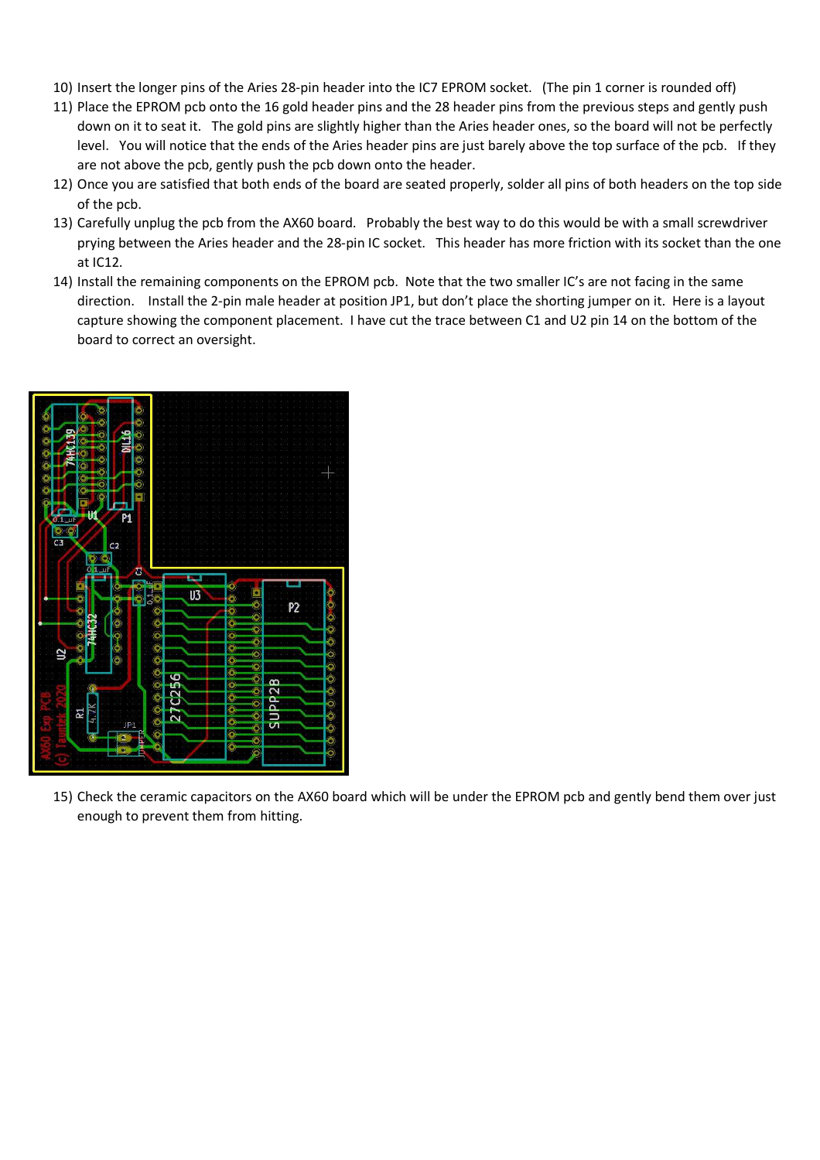- 10) Insert the longer pins of the Aries 28-pin header into the IC7 EPROM socket. (The pin 1 corner is rounded off)
- 11) Place the EPROM pcb onto the 16 gold header pins and the 28 header pins from the previous steps and gently push down on it to seat it. The gold pins are slightly higher than the Aries header ones, so the board will not be perfectly level. You will notice that the ends of the Aries header pins are just barely above the top surface of the pcb. If they are not above the pcb, gently push the pcb down onto the header.
- 12) Once you are satisfied that both ends of the board are seated properly, solder all pins of both headers on the top side of the pcb.
- 13) Carefully unplug the pcb from the AX60 board. Probably the best way to do this would be with a small screwdriver prying between the Aries header and the 28-pin IC socket. This header has more friction with its socket than the one at IC12.
- 14) Install the remaining components on the EPROM pcb. Note that the two smaller IC's are not facing in the same direction. Install the 2-pin male header at position JP1, but don't place the shorting jumper on it. Here is a layout capture showing the component placement. I have cut the trace between C1 and U2 pin 14 on the bottom of the board to correct an oversight.



15) Check the ceramic capacitors on the AX60 board which will be under the EPROM pcb and gently bend them over just enough to prevent them from hitting.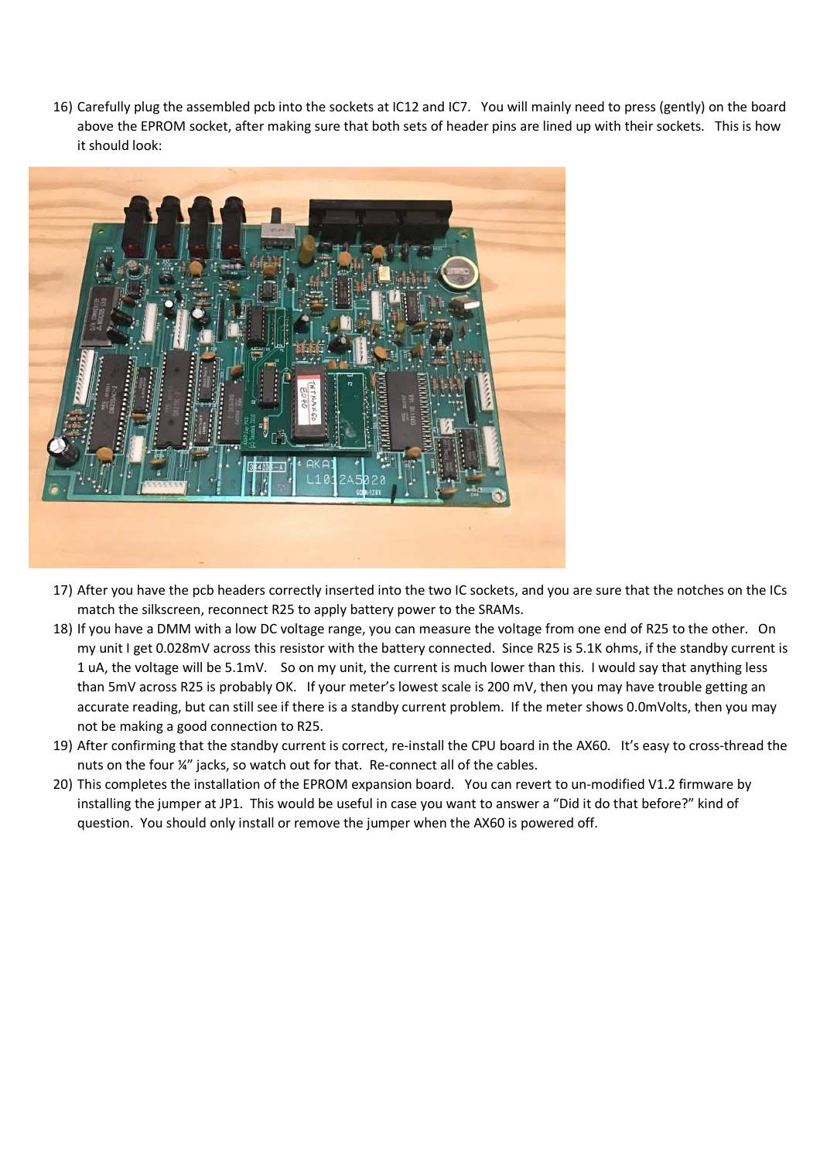16) Carefully plug the assembled pcb into the sockets at IC12 and IC7. You will mainly need to press (gently) on the board above the EPROM socket, after making sure that both sets of header pins are lined up with their sockets. This is how it should look:



- 17) After you have the pcb headers correctly inserted into the two IC sockets, and you are sure that the notches on the ICs match the silkscreen, reconnect R25 to apply battery power to the SRAMs.
- 18) If you have a DMM with a low DC voltage range, you can measure the voltage from one end of R25 to the other. On my unit I get 0.028mV across this resistor with the battery connected. Since R25 is 5.1K ohms, if the standby current is 1 uA, the voltage will be 5.1mV. So on my unit, the current is much lower than this. I would say that anything less than 5mV across R25 is probably OK. If your meter's lowest scale is 200 mV, then you may have trouble getting an accurate reading, but can still see if there is a standby current problem. If the meter shows 0.0mVolts, then you may not be making a good connection to R25.
- 19) After confirming that the standby current is correct, re-install the CPU board in the AX60. It's easy to cross-thread the nuts on the four ¼" jacks, so watch out for that. Re-connect all of the cables.
- 20) This completes the installation of the EPROM expansion board. You can revert to un-modified V1.2 firmware by installing the jumper at JP1. This would be useful in case you want to answer a "Did it do that before?" kind of question. You should only install or remove the jumper when the AX60 is powered off.